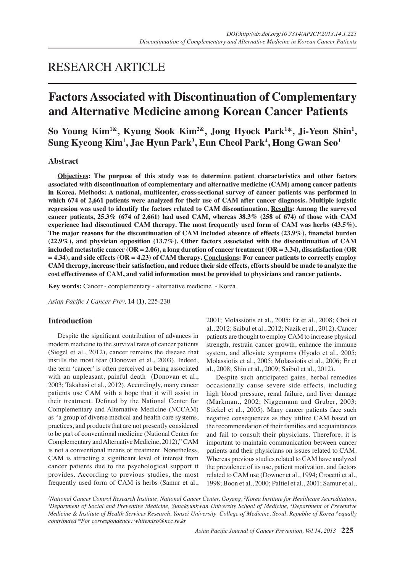# RESEARCH ARTICLE

# **Factors Associated with Discontinuation of Complementary and Alternative Medicine among Korean Cancer Patients**

So Young Kim<sup>1&</sup>, Kyung Sook Kim<sup>2&</sup>, Jong Hyock Park<sup>1\*</sup>, Ji-Yeon Shin<sup>1</sup>, **Sung Kyeong Kim1 , Jae Hyun Park3 , Eun Cheol Park4 , Hong Gwan Seo1**

# **Abstract**

**Objectives: The purpose of this study was to determine patient characteristics and other factors associated with discontinuation of complementary and alternative medicine (CAM) among cancer patients in Korea. Methods: A national, multicenter, cross-sectional survey of cancer patients was performed in which 674 of 2,661 patients were analyzed for their use of CAM after cancer diagnosis. Multiple logistic regression was used to identify the factors related to CAM discontinuation. Results: Among the surveyed cancer patients, 25.3% (674 of 2,661) had used CAM, whereas 38.3% (258 of 674) of those with CAM experience had discontinued CAM therapy. The most frequently used form of CAM was herbs (43.5%). The major reasons for the discontinuation of CAM included absence of effects (23.9%), financial burden (22.9%), and physician opposition (13.7%). Other factors associated with the discontinuation of CAM included metastatic cancer (OR = 2.06), a long duration of cancer treatment (OR = 3.34), dissatisfaction (OR = 4.34), and side effects (OR = 4.23) of CAM therapy. Conclusions: For cancer patients to correctly employ CAM therapy, increase their satisfaction, and reduce their side effects, efforts should be made to analyze the cost effectiveness of CAM, and valid information must be provided to physicians and cancer patients.**

**Key words:** Cancer - complementary - alternative medicine - Korea

*Asian Pacific J Cancer Prev,* **14 (1)**, 225-230

## **Introduction**

 Despite the significant contribution of advances in modern medicine to the survival rates of cancer patients (Siegel et al., 2012), cancer remains the disease that instills the most fear (Donovan et al., 2003). Indeed, the term 'cancer' is often perceived as being associated with an unpleasant, painful death (Donovan et al., 2003; Takahasi et al., 2012). Accordingly, many cancer patients use CAM with a hope that it will assist in their treatment. Defined by the National Center for Complementary and Alternative Medicine (NCCAM) as "a group of diverse medical and health care systems, practices, and products that are not presently considered to be part of conventional medicine (National Center for Complementary andAlternative Medicine, 2012)," CAM is not a conventional means of treatment. Nonetheless, CAM is attracting a significant level of interest from cancer patients due to the psychological support it provides. According to previous studies, the most frequently used form of CAM is herbs (Samur et al.,

2001; Molassiotis et al., 2005; Er et al., 2008; Choi et al., 2012; Saibul et al., 2012; Nazik et al., 2012). Cancer patients are thought to employ CAM to increase physical strength, restrain cancer growth, enhance the immune system, and alleviate symptoms (Hyodo et al., 2005; Molassiotis et al., 2005; Molassiotis et al., 2006; Er et al., 2008; Shin et al., 2009; Saibul et al., 2012).

 Despite such anticipated gains, herbal remedies occasionally cause severe side effects, including high blood pressure, renal failure, and liver damage (Markman., 2002; Niggemann and Gruber, 2003; Stickel et al., 2005). Many cancer patients face such negative consequences as they utilize CAM based on the recommendation of their families and acquaintances and fail to consult their physicians. Therefore, it is important to maintain communication between cancer patients and their physicians on issues related to CAM. Whereas previous studies related to CAM have analyzed the prevalence of its use, patient motivation, and factors related to CAM use (Downer et al., 1994; Crocetti et al., 1998; Boon et al., 2000; Paltiel et al., 2001; Samur et al.,

<sup>1</sup> National Cancer Control Research Institute, National Cancer Center, Goyang, <sup>2</sup> Korea Institute for Healthcare Accreditation,<br><sup>3</sup> Department of Social and Preventive Medicine, Sungkyunkwan University School of Medicine *Department of Social and Preventive Medicine, Sungkyunkwan University School of Medicine, 4 Department of Preventive Medicine & Institute of Health Services Research, Yonsei University College of Medicine, Seoul, Republic of Korea &equally contributed \*For correspondence: whitemiso@ncc.re.kr*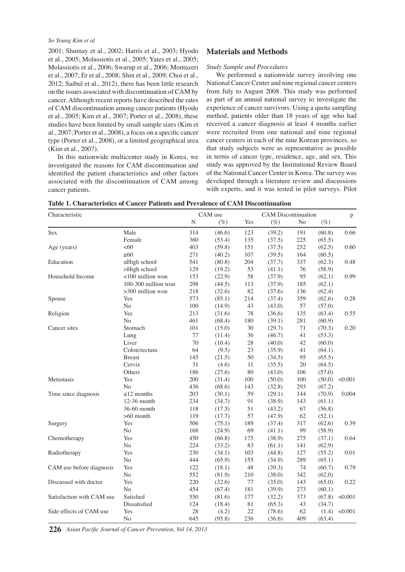## *So Young Kim et al*

2001; Shumay et al., 2002; Harris et al., 2003; Hyodo et al., 2005; Molassiotis et al., 2005; Yates et al., 2005; Molassiotis et al., 2006; Swarup et al., 2006; Montazeri et al., 2007; Er et al., 2008; Shin et al., 2009; Choi et al., 2012; Saibul et al., 2012), there has been little research on the issues associated with discontinuation of CAM by cancer. Although recent reports have described the rates of CAM discontinuation among cancer patients (Hyodo et al., 2005; Kim et al., 2007; Porter et al., 2008), these studies have been limited by small sample sizes (Kim et al., 2007; Porter et al., 2008), a focus on a specific cancer type (Porter et al., 2008), or a limited geographical area (Kim et al., 2007).

 In this nationwide multicenter study in Korea, we investigated the reasons for CAM discontinuation and identified the patient characteristics and other factors associated with the discontinuation of CAM among cancer patients.

# **Materials and Methods**

## *Study Sample and Procedures*

 We performed a nationwide survey involving one National Cancer Center and nine regional cancer centers from July to August 2008. This study was performed as part of an annual national survey to investigate the experience of cancer survivors. Using a quota sampling method, patients older than 18 years of age who had received a cancer diagnosis at least 4 months earlier were recruited from one national and nine regional cancer centers in each of the nine Korean provinces, so that study subjects were as representative as possible in terms of cancer type, residence, age, and sex. This study was approved by the Institutional Review Board of the National Cancer Center in Korea. The survey was developed through a literature review and discussions with experts, and it was tested in pilot surveys. Pilot

**Table 1. Characteristics of Cancer Patients and Prevalence of CAM Discontinuation** 

| Characteristic            |                     | CAM use |        | <b>CAM</b> Discontinuation |        |        | p      |         |
|---------------------------|---------------------|---------|--------|----------------------------|--------|--------|--------|---------|
|                           |                     | N       | (%)    | Yes                        | $(\%)$ | No     | $(\%)$ |         |
| Sex                       | Male                | 314     | (46.6) | 123                        | (39.2) | 191    | (60.8) | 0.66    |
|                           | Female              | 360     | (53.4) | 135                        | (37.5) | 225    | (65.5) |         |
| Age (years)               | <60                 | 403     | (59.8) | 151                        | (37.5) | 252    | (62.5) | 0.60    |
|                           | $\geq 60$           | 271     | (40.2) | 107                        | (39.5) | 164    | (60.5) |         |
| Education                 | $\leq$ High school  | 541     | (80.8) | 204                        | (37.7) | 337    | (62.3) | 0.48    |
|                           | >High school        | 129     | (19.2) | 53                         | (41.1) | 76     | (58.9) |         |
| Household Income          | <100 million won    | 153     | (22.9) | 58                         | (37.9) | 95     | (62.1) | 0.99    |
|                           | 100-300 million won | 298     | (44.5) | 113                        | (37.9) | 185    | (62.1) |         |
|                           | $>300$ million won  | 218     | (32.6) | 82                         | (37.6) | 136    | (62.4) |         |
| Spouse                    | Yes                 | 573     | (85.1) | 214                        | (37.4) | 359    | (62.6) | 0.28    |
|                           | No                  | 100     | (14.9) | 43                         | (43.0) | 57     | (57.0) |         |
| Religion                  | Yes                 | 213     | (31.6) | 78                         | (36.6) | 135    | (63.4) | 0.55    |
|                           | N <sub>o</sub>      | 461     | (68.4) | 180                        | (39.1) | 281    | (60.9) |         |
| Cancer sites              | Stomach             | 101     | (15.0) | $30\,$                     | (29.7) | $71\,$ | (70.3) | 0.20    |
|                           | Lung                | 77      | (11.4) | 36                         | (46.7) | 41     | (53.3) |         |
|                           | Liver               | 70      | (10.4) | 28                         | (40.0) | 42     | (60.0) |         |
|                           | Colon/rectum        | 64      | (9.5)  | 23                         | (35.9) | 41     | (64.1) |         |
|                           | <b>Breast</b>       | 145     | (21.5) | 50                         | (34.5) | 95     | (65.5) |         |
|                           | Cervix              | 31      | (4.6)  | 11                         | (35.5) | 20     | (64.5) |         |
|                           | Others              | 186     | (27.6) | 80                         | (43.0) | 106    | (57.0) |         |
| Metastasis                | Yes                 | 200     | (31.4) | 100                        | (50.0) | 100    | (50.0) | < 0.001 |
|                           | N <sub>o</sub>      | 436     | (68.6) | 143                        | (32.8) | 293    | (67.2) |         |
| Time since diagnosis      | $\leq$ 12 months    | 203     | (30.1) | 59                         | (29.1) | 144    | (70.9) | 0.004   |
|                           | 12-36 month         | 234     | (34.7) | 91                         | (38.9) | 143    | (61.1) |         |
|                           | 36-60 month         | 118     | (17.5) | 51                         | (43.2) | 67     | (56.8) |         |
|                           | $>60$ month         | 119     | (17.7) | 57                         | (47.9) | 62     | (52.1) |         |
| Surgery                   | Yes                 | 506     | (75.1) | 189                        | (37.4) | 317    | (62.6) | 0.39    |
|                           | No                  | 168     | (24.9) | 69                         | (41.1) | 99     | (58.9) |         |
| Chemotherapy              | Yes                 | 450     | (66.8) | 175                        | (38.9) | 275    | (37.1) | 0.64    |
|                           | $\rm No$            | 224     | (33.2) | 83                         | (61.1) | 141    | (62.9) |         |
| Radiotherapy              | Yes                 | 230     | (34.1) | 103                        | (44.8) | 127    | (55.2) | 0.01    |
|                           | No                  | 444     | (65.9) | 155                        | (34.9) | 289    | (65.1) |         |
| CAM use before diagnosis  | Yes                 | 122     | (18.1) | 48                         | (39.3) | 74     | (60.7) | 0.79    |
|                           | No                  | 552     | (81.9) | 210                        | (38.0) | 342    | (62.0) |         |
| Discussed with doctor     | Yes                 | 220     | (32.6) | 77                         | (35.0) | 143    | (65.0) | 0.22    |
|                           | N <sub>o</sub>      | 454     | (67.4) | 181                        | (39.9) | 273    | (60.1) |         |
| Satisfaction with CAM use | Satisfied           | 550     | (81.6) | 177                        | (32.2) | 373    | (67.8) | < 0.001 |
|                           | Dissatisfied        | 124     | (18.4) | $8\sqrt{1}$                | (65.3) | 43     | (34.7) |         |
| Side effects of CAM use   | Yes                 | 28      | (4.2)  | 22                         | (78.6) | 62     | (1.4)  | < 0.001 |
|                           | N <sub>o</sub>      | 645     | (95.8) | 236                        | (36.6) | 409    | (63.4) |         |

*Asian Pacific Journal of Cancer Prevention, Vol 14, 2013* **226**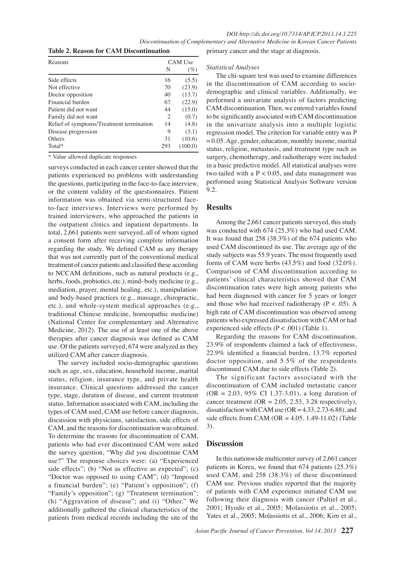*Discontinuation of Complementary and Alternative Medicine in Korean Cancer Patients*

**Table 2. Reason for CAM Discontinuation** 

| Reasons                                  | CAM Use |         |  |
|------------------------------------------|---------|---------|--|
|                                          | N       | $(\%)$  |  |
| Side effects                             | 16      | (5.5)   |  |
| Not effective                            | 70      | (23.9)  |  |
| Doctor opposition                        | 40      | (13.7)  |  |
| Financial burden                         | 67      | (22.9)  |  |
| Patient did not want                     |         | (15.0)  |  |
| Family did not want                      |         | (0.7)   |  |
| Relief of symptoms/Treatment termination |         | (4.8)   |  |
| Disease progression                      | 9       | (3.1)   |  |
| Others                                   | 31      | (10.6)  |  |
| Total*                                   | 293     | (100.0) |  |

\* Value allowed duplicate responses 

surveys conducted in each cancer center showed that the patients experienced no problems with understanding the questions, participating in the face-to-face interview, or the content validity of the questionnaires. Patient information was obtained via semi-structured faceto-face interviews. Interviews were performed by trained interviewers, who approached the patients in the outpatient clinics and inpatient departments. In total, 2,661 patients were surveyed, all of whom signed a consent form after receiving complete information regarding the study. We defined CAM as any therapy that was not currently part of the conventional medical treatment of cancer patients and classified these according to NCCAM definitions, such as natural products (e.g., herbs, foods, probiotics, etc.), mind–body medicine (e.g., mediation, prayer, mental healing, etc.), manipulationand body-based practices (e.g., massage, chiropractic, etc.), and whole-system medical approaches (e.g., traditional Chinese medicine, homeopathic medicine) (National Center for complementary and Alternative Medicine, 2012). The use of at least one of the above therapies after cancer diagnosis was defined as CAM use. Of the patients surveyed, 674 were analyzed as they utilized CAM after cancer diagnosis.

 The survey included socio-demographic questions such as age, sex, education, household income, marital status, religion, insurance type, and private health insurance. Clinical questions addressed the cancer type, stage, duration of disease, and current treatment status. Information associated with CAM, including the types of CAM used, CAM use before cancer diagnosis, discussion with physicians, satisfaction, side effects of CAM, and the reasons for discontinuation was obtained. To determine the reasons for discontinuation of CAM, patients who had ever discontinued CAM were asked the survey question, "Why did you discontinue CAM use?" The response choices were: (a) "Experienced side effects"; (b) "Not as effective as expected"; (c) "Doctor was opposed to using CAM"; (d) "Imposed a financial burden"; (e) "Patient's opposition"; (f) "Family's opposition"; (g) "Treatment termination"; (h) "Aggravation of disease"; and (i) "Other." We additionally gathered the clinical characteristics of the patients from medical records including the site of the

primary cancer and the stage at diagnosis.

#### *Statistical Analyses*

 The chi-square test was used to examine differences in the discontinuation of CAM according to sociodemographic and clinical variables. Additionally, we performed a univariate analysis of factors predicting CAM discontinuation. Then, we entered variables found to be significantly associated with CAM discontinuation in the univariate analysis into a multiple logistic regression model. The criterion for variable entry was P  $= 0.05$ . Age, gender, education, monthly income, marital status, religion, metastasis, and treatment type such as surgery, chemotherapy, and radiotherapy were included in a basic predictive model. All statistical analyses were two-tailed with a  $P < 0.05$ , and data management was performed using Statistical Analysis Software version 9.2.

# **Results**

Among the 2,661 cancer patients surveyed, this study was conducted with 674 (25.3%) who had used CAM. It was found that 258 (38.3%) of the 674 patients who used CAM discontinued its use. The average age of the study subjects was 55.9 years. The most frequently used forms of CAM were herbs (43.5%) and food (32.0%). Comparison of CAM discontinuation according to patients' clinical characteristics showed that CAM discontinuation rates were high among patients who had been diagnosed with cancer for 5 years or longer and those who had received radiotherapy ( $P < .05$ ). A high rate of CAM discontinuation was observed among patients who expressed dissatisfaction with CAM or had experienced side effects (P < .001) (Table 1).

 Regarding the reasons for CAM discontinuation, 23.9% of respondents claimed a lack of effectiveness, 22.9% identified a financial burden, 13.7% reported doctor opposition, and 5.5% of the respondents discontinued CAM due to side effects (Table 2).

 The significant factors associated with the discontinuation of CAM included metastatic cancer  $(OR = 2.03, 95\% \text{ CI } 1.37 - 3.01)$ , a long duration of cancer treatment (OR =  $2.05$ ,  $2.53$ ,  $3.28$  respectively), dissatisfaction with CAM use  $(OR = 4.33, 2.73-6.88)$ , and side effects from CAM (OR =  $4.05$ , 1.49-11.02) (Table 3).

# **Discussion**

In this nationwide multicenter survey of  $2,661$  cancer patients in Korea, we found that 674 patients (25.3%) used CAM, and 258 (38.3%) of these discontinued CAM use. Previous studies reported that the majority of patients with CAM experience initiated CAM use following their diagnosis with cancer (Paltiel et al., 2001; Hyodo et al., 2005; Molassiotis et al., 2005; Yates et al., 2005; Molassiotis et al., 2006; Kim et al.,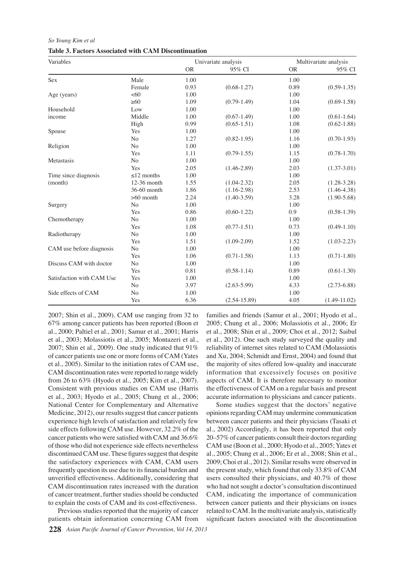#### *So Young Kim et al*

| Variables                 |                  |           | Univariate analysis | Multivariate analysis |                 |  |
|---------------------------|------------------|-----------|---------------------|-----------------------|-----------------|--|
|                           |                  | <b>OR</b> | 95% CI              | <b>OR</b>             | 95% CI          |  |
| $\operatorname{Sex}$      | Male             | 1.00      |                     | 1.00                  |                 |  |
|                           | Female           | 0.93      | $(0.68 - 1.27)$     | 0.89                  | $(0.59 - 1.35)$ |  |
| Age (years)               | <60              | 1.00      |                     | 1.00                  |                 |  |
|                           | $\geq 60$        | 1.09      | $(0.79-1.49)$       | 1.04                  | $(0.69 - 1.58)$ |  |
| Household                 | Low              | 1.00      |                     | 1.00                  |                 |  |
| income                    | Middle           | 1.00      | $(0.67 - 1.49)$     | 1.00                  | $(0.61 - 1.64)$ |  |
|                           | High             | 0.99      | $(0.65 - 1.51)$     | 1.08                  | $(0.62 - 1.88)$ |  |
| Spouse                    | Yes              | 1.00      |                     | 1.00                  |                 |  |
|                           | N <sub>o</sub>   | 1.27      | $(0.82 - 1.95)$     | 1.16                  | $(0.70-1.93)$   |  |
| Religion                  | N <sub>o</sub>   | 1.00      |                     | 1.00                  |                 |  |
|                           | Yes              | 1.11      | $(0.79-1.55)$       | 1.15                  | $(0.78 - 1.70)$ |  |
| Metastasis                | No               | 1.00      |                     | 1.00                  |                 |  |
|                           | Yes              | 2.05      | $(1.46 - 2.89)$     | 2.03                  | $(1.37 - 3.01)$ |  |
| Time since diagnosis      | $\leq$ 12 months | 1.00      |                     | 1.00                  |                 |  |
| (month)                   | 12-36 month      | 1.55      | $(1.04 - 2.32)$     | 2.05                  | $(1.28 - 3.28)$ |  |
|                           | 36-60 month      | 1.86      | $(1.16-2.98)$       | 2.53                  | $(1.46 - 4.38)$ |  |
|                           | $>60$ month      | 2.24      | $(1.40 - 3.59)$     | 3.28                  | $(1.90 - 5.68)$ |  |
| Surgery                   | N <sub>o</sub>   | 1.00      |                     | 1.00                  |                 |  |
|                           | Yes              | 0.86      | $(0.60 - 1.22)$     | 0.9                   | $(0.58 - 1.39)$ |  |
| Chemotherapy              | N <sub>o</sub>   | 1.00      |                     | 1.00                  |                 |  |
|                           | Yes              | 1.08      | $(0.77-1.51)$       | 0.73                  | $(0.49-1.10)$   |  |
| Radiotherapy              | $\rm No$         | 1.00      |                     | 1.00                  |                 |  |
|                           | Yes              | 1.51      | $(1.09 - 2.09)$     | 1.52                  | $(1.03 - 2.23)$ |  |
| CAM use before diagnosis  | $\rm No$         | 1.00      |                     | 1.00                  |                 |  |
|                           | Yes              | 1.06      | $(0.71 - 1.58)$     | 1.13                  | $(0.71 - 1.80)$ |  |
| Discuss CAM with doctor   | $\rm No$         | 1.00      |                     | 1.00                  |                 |  |
|                           | Yes              | 0.81      | $(0.58 - 1.14)$     | 0.89                  | $(0.61 - 1.30)$ |  |
| Satisfaction with CAM Use | Yes              | 1.00      |                     | 1.00                  |                 |  |
|                           | No               | 3.97      | $(2.63 - 5.99)$     | 4.33                  | $(2.73 - 6.88)$ |  |
| Side effects of CAM       | No               | 1.00      |                     | 1.00                  |                 |  |
|                           | Yes              | 6.36      | $(2.54 - 15.89)$    | 4.05                  | $(1.49-11.02)$  |  |

2007; Shin et al., 2009). CAM use ranging from 32 to 67% among cancer patients has been reported (Boon et al., 2000; Paltiel et al., 2001; Samur et al., 2001; Harris et al., 2003; Molassiotis et al., 2005; Montazeri et al., 2007; Shin et al., 2009). One study indicated that 91% of cancer patients use one or more forms of CAM (Yates et al., 2005). Similar to the initiation rates of CAM use, CAM discontinuation rates were reported to range widely from 26 to 63% (Hyodo et al., 2005; Kim et al., 2007). Consistent with previous studies on CAM use (Harris et al., 2003; Hyodo et al., 2005; Chung et al., 2006; National Center for Complementary and Alternative Medicine, 2012), our results suggest that cancer patients experience high levels of satisfaction and relatively few side effects following CAM use. However, 32.2% of the cancer patients who were satisfied with CAM and 36.6% of those who did not experience side effects nevertheless discontinued CAM use. These figures suggest that despite the satisfactory experiences with CAM, CAM users frequently question its use due to its financial burden and unverified effectiveness. Additionally, considering that CAM discontinuation rates increased with the duration of cancer treatment, further studies should be conducted to explain the costs of CAM and its cost-effectiveness.

Previous studies reported that the majority of cancer patients obtain information concerning CAM from families and friends (Samur et al., 2001; Hyodo et al., 2005; Chung et al., 2006; Molassiotis et al., 2006; Er et al., 2008; Shin et al., 2009; Choi et al., 2012; Saibul et al., 2012). One such study surveyed the quality and reliability of internet sites related to CAM (Molassiotis and Xu, 2004; Schmidt and Ernst, 2004) and found that the majority of sites offered low-quality and inaccurate information that excessively focuses on positive aspects of CAM. It is therefore necessary to monitor the effectiveness of CAM on a regular basis and present accurate information to physicians and cancer patients.

Some studies suggest that the doctors' negative opinionsregardingCAM may undermine communication between cancer patients and their physicians (Tasaki et al., 2002) Accordingly, it has been reported that only 20–57% of cancer patients consult their doctors regarding CAM use (Boon et al., 2000; Hyodo et al., 2005; Yates et al., 2005; Chung et al., 2006; Er et al., 2008; Shin et al., 2009; Choi et al., 2012). Similar results were observed in the present study, which found that only 33.8% of CAM users consulted their physicians, and 40.7% of those who had not sought a doctor's consultation discontinued CAM, indicating the importance of communication between cancer patients and their physicians on issues related to CAM. In the multivariate analysis, statistically significant factors associated with the discontinuation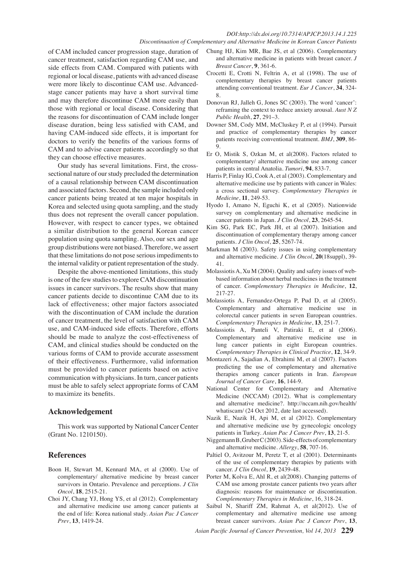#### *DOI:http://dx.doi.org/10.7314/APJCP.2013.14.1.225 Discontinuation of Complementary and Alternative Medicine in Korean Cancer Patients*

of CAM included cancer progression stage, duration of cancer treatment, satisfaction regarding CAM use, and side effects from CAM. Compared with patients with regional or local disease, patients with advanced disease were more likely to discontinue CAM use. Advancedstage cancer patients may have a short survival time and may therefore discontinue CAM more easily than those with regional or local disease. Considering that the reasons for discontinuation of CAM include longer disease duration, being less satisfied with CAM, and having CAM-induced side effects, it is important for doctors to verify the benefits of the various forms of CAM and to advise cancer patients accordingly so that they can choose effective measures.

Our study has several limitations. First, the crosssectional nature of our study precluded the determination of a causal relationship between CAM discontinuation and associated factors. Second, the sample included only cancer patients being treated at ten major hospitals in Korea and selected using quota sampling, and the study thus does not represent the overall cancer population. However, with respect to cancer types, we obtained a similar distribution to the general Korean cancer population using quota sampling. Also, our sex and age group distributions were not biased. Therefore, we assert that these limitations do not pose serious impediments to the internal validity or patient representation of the study.

Despite the above-mentioned limitations, this study is one of the few studies to explore CAM discontinuation issues in cancer survivors. The results show that many cancer patients decide to discontinue CAM due to its lack of effectiveness; other major factors associated with the discontinuation of CAM include the duration of cancer treatment, the level of satisfaction with CAM use, and CAM-induced side effects. Therefore, efforts should be made to analyze the cost-effectiveness of CAM, and clinical studies should be conducted on the various forms of CAM to provide accurate assessment of their effectiveness. Furthermore, valid information must be provided to cancer patients based on active communication with physicians. In turn, cancer patients must be able to safely select appropriate forms of CAM to maximize its benefits.

# **Acknowledgement**

This work was supported by National Cancer Center (Grant No. 1210150).

# **References**

- Boon H, Stewart M, Kennard MA, et al (2000). Use of complementary/ alternative medicine by breast cancer survivors in Ontario. Prevalence and perceptions. *J Clin Oncol*, **18**, 2515-21.
- Choi JY, Chang YJ, Hong YS, et al (2012). Complementary and alternative medicine use among cancer patients at the end of life: Korea national study. *Asian Pac J Cancer Prev*, **13**, 1419-24.
- Chung HJ, Kim MR, Bae JS, et al (2006). Complementary and alternative medicine in patients with breast cancer. *J Breast Cancer*, **9**, 361-6.
- Crocetti E, Crotti N, Feltrin A, et al (1998). The use of complementary therapies by breast cancer patients attending conventional treatment. *Eur J Cancer*, **34**, 324- 8.
- Donovan RJ, Jalleh G, Jones SC (2003). The word 'cancer': reframing the context to reduce anxiety arousal. *Aust N Z Public Health*, **27**, 291–3.
- Downer SM, Cody MM, McCluskey P, et al (1994). Pursuit and practice of complementary therapies by cancer patients receiving conventional treatment. *BMJ*, **309**, 86- 9.
- Er O, Mistik S, Ozkan M, et al(2008). Factors related to complementary/ alternative medicine use among cancer patients in central Anatolia. *Tumori*, **94**, 833-7.
- Harris P, Finlay IG, Cook A, et al (2003). Complementary and alternative medicine use by patients with cancer in Wales: a cross sectional survey. *Complementary Therapies in Medicine*, **11**, 249-53.
- Hyodo I, Amano N, Eguchi K, et al (2005). Nationwide survey on complementary and alternative medicine in cancer patients in Japan. *J Clin Oncol*, **23**, 2645-54.
- Kim SG, Park EC, Park JH, et al (2007). Initiation and discontinuation of complementary therapy among cancer patients. *J Clin Oncol*, **25**, 5267-74.
- Markman M (2003). Safety issues in using complementary and alternative medicine. *J Clin Oncol*, **20**(18suppl), 39- 41.
- MolassiotisA, Xu M (2004). Quality and safety issues of webbased information about herbal medicines in the treatment of cancer. *Complementary Therapies in Medicine*, **12**, 217-27.
- Molassiotis A, Fernandez-Ortega P, Pud D, et al (2005). Complementary and alternative medicine use in colorectal cancer patients in seven European countries. *Complementary Therapies in Medicine*, **13**, 251-7.
- Molassiotis A, Panteli V, Patiraki E, et al (2006). Complementary and alternative medicine use in lung cancer patients in eight European countries. *Complementary Therapies in Clinical Practice*, **12**, 34-9.
- Montazeri A, Sajadian A, Ebrahimi M, et al (2007). Factors predicting the use of complementary and alternative therapies among cancer patients in Iran. *European Journal of Cancer Care*, **16**, 144-9.
- National Center for Complementary and Alternative Medicine (NCCAM) (2012). What is complementary and alternative medicine?. http://nccam.nih.gov/health/ whatiscam/ (24 Oct 2012, date last accessed).
- Nazik E, Nazik H, Api M, et al (2012). Complementary and alternative medicine use by gynecologic oncology patients in Turkey. *Asian Pac J Cancer Prev*, **13**, 21-5.
- NiggemannB,GruberC(2003).Side-effectsofcomplementary and alternative medicine. *Allergy*, **58**, 707-16.
- Paltiel O, Avitzour M, Peretz T, et al (2001). Determinants of the use of complementary therapies by patients with cancer. *J Clin Oncol*, **19**, 2439-48.
- Porter M, Kolva E, Ahl R, et al(2008). Changing patterns of CAM use among prostate cancer patients two years after diagnosis: reasons for maintenance or discontinuation. *Complementary Therapies in Medicine*, 16, 318-24.
- Saibul N, Shariff ZM, Rahmat A, et al(2012). Use of complementary and alternative medicine use among breast cancer survivors. *Asian Pac J Cancer Prev*, **13**,
- *Asian Pacific Journal of Cancer Prevention, Vol 14, 2013* **229**